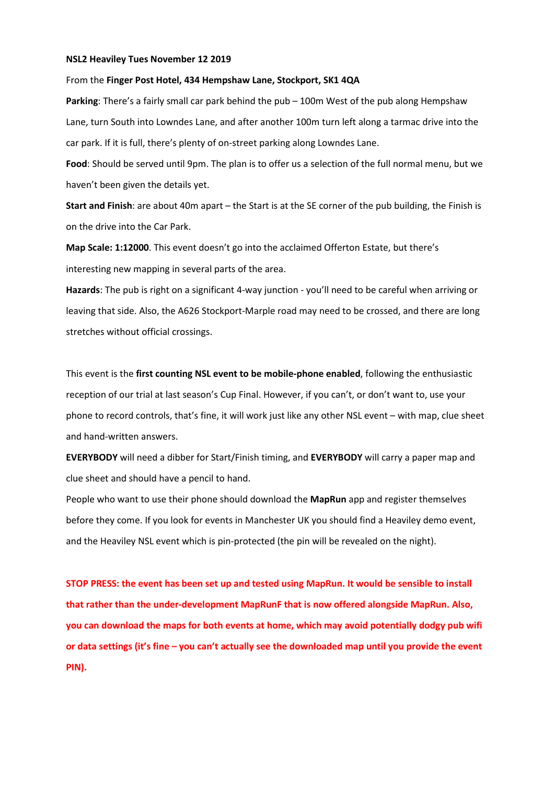## NSL2 Heaviley Tues November 12 2019

## From the Finger Post Hotel, 434 Hempshaw Lane, Stockport, SK1 4QA

Parking: There's a fairly small car park behind the pub – 100m West of the pub along Hempshaw Lane, turn South into Lowndes Lane, and after another 100m turn left along a tarmac drive into the car park. If it is full, there's plenty of on-street parking along Lowndes Lane.

Food: Should be served until 9pm. The plan is to offer us a selection of the full normal menu, but we haven't been given the details yet.

Start and Finish: are about 40m apart – the Start is at the SE corner of the pub building, the Finish is on the drive into the Car Park.

Map Scale: 1:12000. This event doesn't go into the acclaimed Offerton Estate, but there's interesting new mapping in several parts of the area.

Hazards: The pub is right on a significant 4-way junction - you'll need to be careful when arriving or leaving that side. Also, the A626 Stockport-Marple road may need to be crossed, and there are long stretches without official crossings.

This event is the first counting NSL event to be mobile-phone enabled, following the enthusiastic reception of our trial at last season's Cup Final. However, if you can't, or don't want to, use your phone to record controls, that's fine, it will work just like any other NSL event – with map, clue sheet and hand-written answers.

EVERYBODY will need a dibber for Start/Finish timing, and EVERYBODY will carry a paper map and clue sheet and should have a pencil to hand.

People who want to use their phone should download the MapRun app and register themselves before they come. If you look for events in Manchester UK you should find a Heaviley demo event, and the Heaviley NSL event which is pin-protected (the pin will be revealed on the night).

STOP PRESS: the event has been set up and tested using MapRun. It would be sensible to install that rather than the under-development MapRunF that is now offered alongside MapRun. Also, you can download the maps for both events at home, which may avoid potentially dodgy pub wifi or data settings (it's fine – you can't actually see the downloaded map until you provide the event PIN).